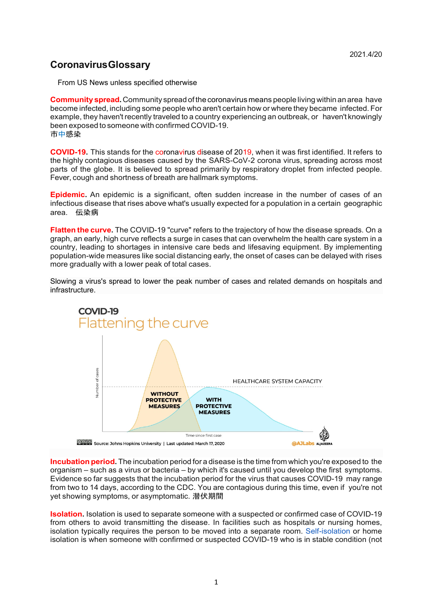## **Coronavirus Glossary**

From US News unless specified otherwise

**Community spread.**Community spread of the coronavirus means people living within an area have become infected, including some people who aren't certain how or where they became infected. For example, they haven't recently traveled to a country experiencing an outbreak, or haven't knowingly been exposed to someone with confirmed COVID-19. 市中感染

**COVID-19.** This stands for the coronavirus disease of 2019, when it was first identified. It refers to the highly contagious diseases caused by the SARS-CoV-2 corona virus, spreading across most parts of the globe. It is believed to spread primarily by respiratory droplet from infected people. Fever, cough and shortness of breath are hallmark symptoms.

**Epidemic.** An epidemic is a significant, often sudden increase in the number of cases of an infectious disease that rises above what's usually expected for a population in a certain geographic area. 伝染病

**Flatten the curve.** The COVID-19 "curve" refers to the trajectory of how the disease spreads. On a graph, an early, high curve reflects a surge in cases that can overwhelm the health care system in a country, leading to shortages in intensive care beds and lifesaving equipment. By implementing population-wide measures like social distancing early, the onset of cases can be delayed with rises more gradually with a lower peak of total cases.

Slowing a virus's spread to lower the peak number of cases and related demands on hospitals and infrastructure.



**Incubation period.** The incubation period for a disease is the time from which you're exposed to the organism – such as a virus or bacteria – by which it's caused until you develop the first symptoms. Evidence so far suggests that the incubation period for the virus that causes COVID-19 may range from two to 14 days, according to the CDC. You are contagious during this time, even if you're not yet showing symptoms, or asymptomatic. 潜伏期間

**Isolation.** Isolation is used to separate someone with a suspected or confirmed case of COVID-19 from others to avoid transmitting the disease. In facilities such as hospitals or nursing homes, isolation typically requires the person to be moved into a separate room. Self-isolation or home isolation is when someone with confirmed or suspected COVID-19 who is in stable condition (not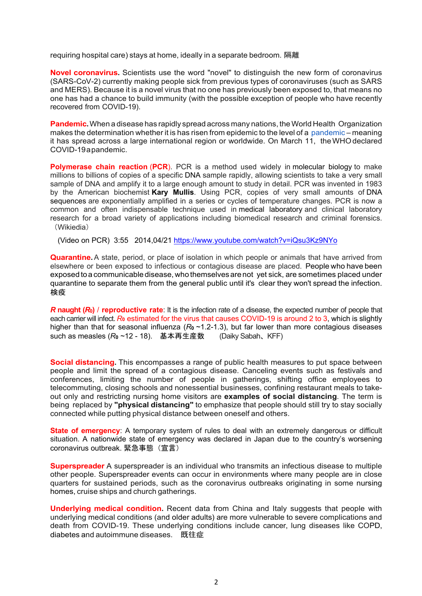requiring hospital care) stays at home, ideally in a separate bedroom. 隔離

**Novel coronavirus.** Scientists use the word "novel" to distinguish the new form of coronavirus (SARS-CoV-2) currently making people sick from previous types of coronaviruses (such as SARS and MERS). Because it is a novel virus that no one has previously been exposed to, that means no one has had a chance to build immunity (with the possible exception of people who have recently recovered from COVID-19).

**Pandemic.** When a disease has rapidly spread across many nations, the World Health Organization makes the determination whether it is has risen from epidemic to the level of a pandemic – meaning it has spread across a large international region or worldwide. On March 11, the WHO declared COVID-19 a pandemic.

**Polymerase chain reaction (PCR).** PCR is a method used widely in molecular biology to make millions to billions of copies of a specific DNA sample rapidly, allowing scientists to take a very small sample of DNA and amplify it to a large enough amount to study in detail. PCR was invented in 1983 by the American biochemist **Kary Mullis**. Using PCR, copies of very small amounts of DNA sequences are exponentially amplified in a series or cycles of temperature changes. PCR is now a common and often indispensable technique used in medical laboratory and clinical laboratory research for a broad variety of applications including biomedical research and criminal forensics. (Wikiedia)

(Video on PCR) 3:55 2014,04/21 https://www.youtube.com/watch?v=iQsu3Kz9NYo

**Quarantine.** A state, period, or place of isolation in which people or animals that have arrived from elsewhere or been exposed to infectious or contagious disease are placed. People who have been exposed to a communicable disease, who themselves are not yet sick, are sometimes placed under quarantine to separate them from the general public until it's clear they won't spread the infection. 検疫

*R* **naught (***R***0)** / **reproductive rate**: It is the infection rate of a disease, the expected number of people that each carrier will infect. *R***0** estimated for the virus that causes COVID-19 is around 2 to 3, which is slightly higher than that for seasonal influenza ( $R_0 \sim 1.2$ -1.3), but far lower than more contagious diseases such as measles (*R***0** ~12 - 18). 基本再生産数 (Daiky Sabah、KFF)

**Social distancing.** This encompasses a range of public health measures to put space between people and limit the spread of a contagious disease. Canceling events such as festivals and conferences, limiting the number of people in gatherings, shifting office employees to telecommuting, closing schools and nonessential businesses, confining restaurant meals to takeout only and restricting nursing home visitors are **examples of social distancing**. The term is being replaced by **"physical distancing"** to emphasize that people should still try to stay socially connected while putting physical distance between oneself and others.

**State of emergency:** A temporary system of rules to deal with an extremely dangerous or difficult situation. A nationwide state of emergency was declared in Japan due to the country's worsening coronavirus outbreak. 緊急事態(宣言)

**Superspreader** A superspreader is an individual who transmits an infectious disease to multiple other people. Superspreader events can occur in environments where many people are in close quarters for sustained periods, such as the coronavirus outbreaks originating in some nursing homes, cruise ships and church gatherings.

**Underlying medical condition.** Recent data from China and Italy suggests that people with underlying medical conditions (and older adults) are more vulnerable to severe complications and death from COVID-19. These underlying conditions include cancer, lung diseases like COPD, diabetes and autoimmune diseases. 既往症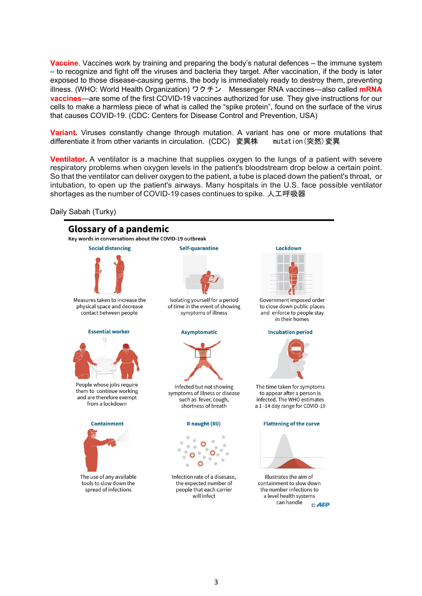**Vaccine**. Vaccines work by training and preparing the body's natural defences – the immune system – to recognize and fight off the viruses and bacteria they target. After vaccination, if the body is later exposed to those disease-causing germs, the body is immediately ready to destroy them, preventing illness. (WHO: World Health Organization) ワクチン Messenger RNA vaccines—also called **mRNA vaccines**—are some of the first COVID-19 vaccines authorized for use. They give instructions for our cells to make a harmless piece of what is called the "spike protein", found on the surface of the virus that causes COVID-19. (CDC: Centers for Disease Control and Prevention, USA)

**Variant.** Viruses constantly change through mutation. A variant has one or more mutations that differentiate it from other variants in circulation. (CDC) 変異株 mutation(突然)変異

**Ventilator.** A ventilator is a machine that supplies oxygen to the lungs of a patient with severe respiratory problems when oxygen levels in the patient's bloodstream drop below a certain point. So that the ventilator can deliver oxygen to the patient, a tube is placed down the patient's throat, or intubation, to open up the patient's airways. Many hospitals in the U.S. face possible ventilator shortages as the number of COVID-19 cases continues to spike. 人工呼吸器

Daily Sabah (Turky)